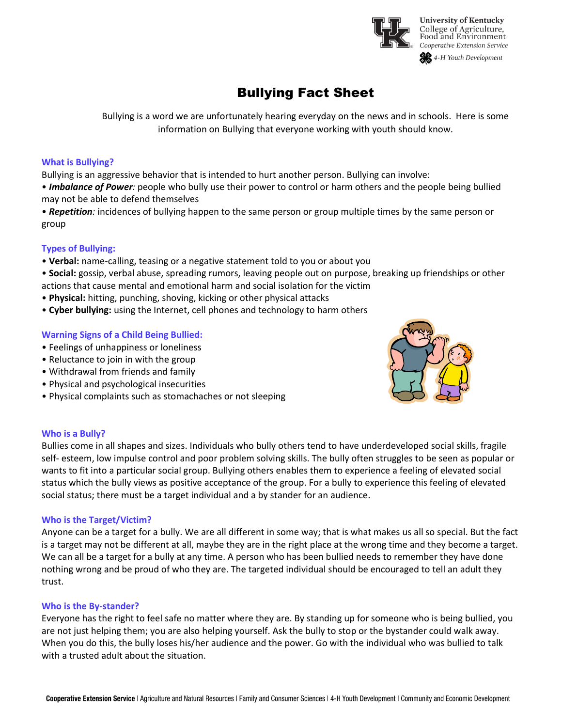

# Bullying Fact Sheet

Bullying is a word we are unfortunately hearing everyday on the news and in schools. Here is some information on Bullying that everyone working with youth should know.

## **What is Bullying?**

Bullying is an aggressive behavior that is intended to hurt another person. Bullying can involve:

• *Imbalance of Power:* people who bully use their power to control or harm others and the people being bullied may not be able to defend themselves

• *Repetition:* incidences of bullying happen to the same person or group multiple times by the same person or group

# **Types of Bullying:**

• **Verbal:** name-calling, teasing or a negative statement told to you or about you

• **Social:** gossip, verbal abuse, spreading rumors, leaving people out on purpose, breaking up friendships or other actions that cause mental and emotional harm and social isolation for the victim

- **Physical:** hitting, punching, shoving, kicking or other physical attacks
- **Cyber bullying:** using the Internet, cell phones and technology to harm others

# **Warning Signs of a Child Being Bullied:**

- Feelings of unhappiness or loneliness
- Reluctance to join in with the group
- Withdrawal from friends and family
- Physical and psychological insecurities
- Physical complaints such as stomachaches or not sleeping



#### **Who is a Bully?**

Bullies come in all shapes and sizes. Individuals who bully others tend to have underdeveloped social skills, fragile self- esteem, low impulse control and poor problem solving skills. The bully often struggles to be seen as popular or wants to fit into a particular social group. Bullying others enables them to experience a feeling of elevated social status which the bully views as positive acceptance of the group. For a bully to experience this feeling of elevated social status; there must be a target individual and a by stander for an audience.

#### **Who is the Target/Victim?**

Anyone can be a target for a bully. We are all different in some way; that is what makes us all so special. But the fact is a target may not be different at all, maybe they are in the right place at the wrong time and they become a target. We can all be a target for a bully at any time. A person who has been bullied needs to remember they have done nothing wrong and be proud of who they are. The targeted individual should be encouraged to tell an adult they trust.

#### **Who is the By-stander?**

Everyone has the right to feel safe no matter where they are. By standing up for someone who is being bullied, you are not just helping them; you are also helping yourself. Ask the bully to stop or the bystander could walk away. When you do this, the bully loses his/her audience and the power. Go with the individual who was bullied to talk with a trusted adult about the situation.